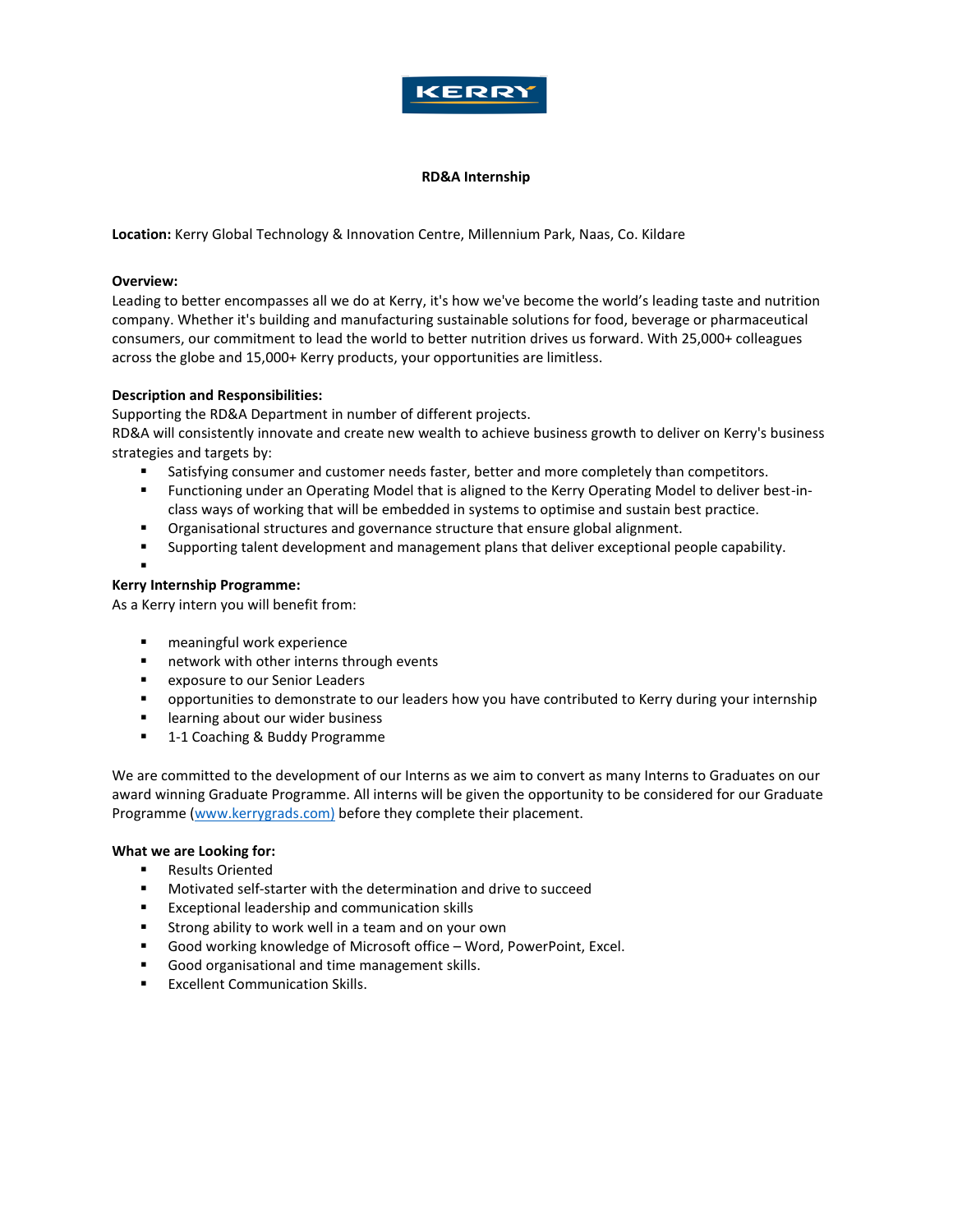

## **RD&A Internship**

**Location:** Kerry Global Technology & Innovation Centre, Millennium Park, Naas, Co. Kildare

## **Overview:**

Leading to better encompasses all we do at Kerry, it's how we've become the world's leading taste and nutrition company. Whether it's building and manufacturing sustainable solutions for food, beverage or pharmaceutical consumers, our commitment to lead the world to better nutrition drives us forward. With 25,000+ colleagues across the globe and 15,000+ Kerry products, your opportunities are limitless.

## **Description and Responsibilities:**

Supporting the RD&A Department in number of different projects.

RD&A will consistently innovate and create new wealth to achieve business growth to deliver on Kerry's business strategies and targets by:

- **EXECT:** Satisfying consumer and customer needs faster, better and more completely than competitors.
- Functioning under an Operating Model that is aligned to the Kerry Operating Model to deliver best-inclass ways of working that will be embedded in systems to optimise and sustain best practice.
- Organisational structures and governance structure that ensure global alignment.
- Supporting talent development and management plans that deliver exceptional people capability.

### ▪ **Kerry Internship Programme:**

As a Kerry intern you will benefit from:

- meaningful work experience
- network with other interns through events
- exposure to our Senior Leaders
- **•** opportunities to demonstrate to our leaders how you have contributed to Kerry during your internship
- learning about our wider business
- 1-1 Coaching & Buddy Programme

We are committed to the development of our Interns as we aim to convert as many Interns to Graduates on our award winning Graduate Programme. All interns will be given the opportunity to be considered for our Graduate Programme [\(www.kerrygrads.com\)](http://www.kerrygrads.com/) before they complete their placement.

## **What we are Looking for:**

- Results Oriented
- Motivated self-starter with the determination and drive to succeed
- Exceptional leadership and communication skills
- Strong ability to work well in a team and on your own
- Good working knowledge of Microsoft office Word, PowerPoint, Excel.
- Good organisational and time management skills.
- **Excellent Communication Skills.**